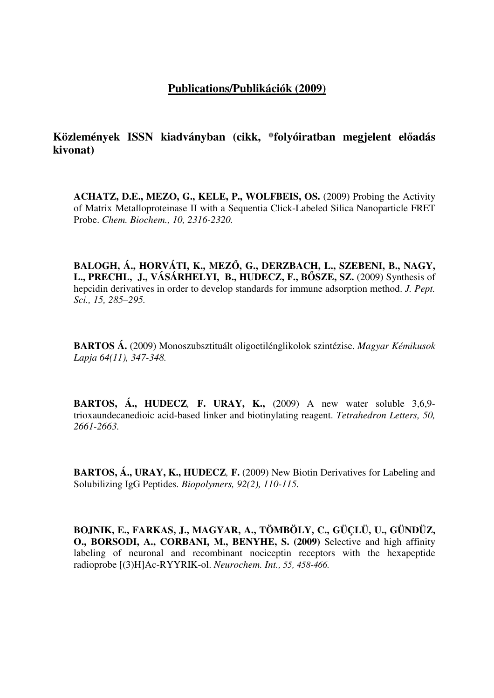## **Publications/Publikációk (2009)**

**Közlemények ISSN kiadványban (cikk, \*folyóiratban megjelent el**ő**adás kivonat)**

**ACHATZ, D.E., MEZO, G., KELE, P., WOLFBEIS, OS.** (2009) Probing the Activity of Matrix Metalloproteinase II with a Sequentia Click-Labeled Silica Nanoparticle FRET Probe. *Chem. Biochem., 10, 2316-2320.*

**BALOGH, Á., HORVÁTI, K., MEZ**Ő**, G., DERZBACH, L., SZEBENI, B., NAGY, L., PRECHL, J., VÁSÁRHELYI, B., HUDECZ, F., B**Ő**SZE, SZ.** (2009) Synthesis of hepcidin derivatives in order to develop standards for immune adsorption method. *J. Pept. Sci., 15, 285–295.*

**BARTOS Á.** (2009) Monoszubsztituált oligoetilénglikolok szintézise. *Magyar Kémikusok Lapja 64(11), 347-348.*

**BARTOS, Á., HUDECZ***,* **F. URAY, K.,** (2009) A new water soluble 3,6,9 trioxaundecanedioic acid-based linker and biotinylating reagent. *Tetrahedron Letters, 50, 2661-2663.*

**BARTOS, Á., URAY, K., HUDECZ***,* **F.** (2009) New Biotin Derivatives for Labeling and Solubilizing IgG Peptides*. Biopolymers, 92(2), 110-115.*

**BOJNIK, E., FARKAS, J., MAGYAR, A., TÖMBÖLY, C., GÜÇLÜ, U., GÜNDÜZ, O., BORSODI, A., CORBANI, M., BENYHE, S. (2009)** Selective and high affinity labeling of neuronal and recombinant nociceptin receptors with the hexapeptide radioprobe [(3)H]Ac-RYYRIK-ol. *Neurochem. Int., 55, 458-466.*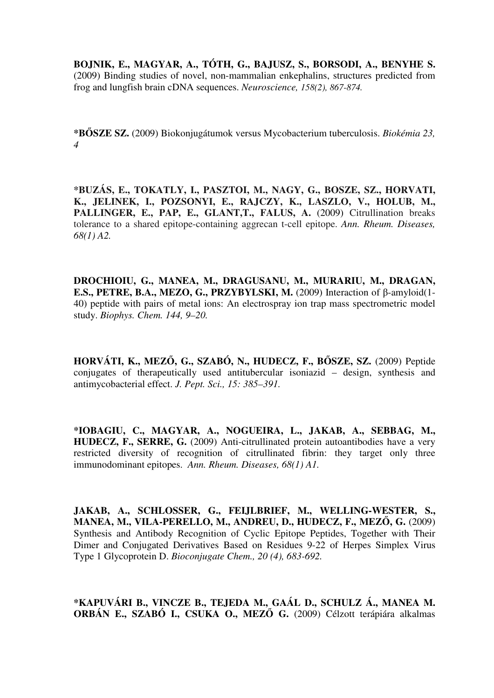**BOJNIK, E., MAGYAR, A., TÓTH, G., BAJUSZ, S., BORSODI, A., BENYHE S.**  (2009) Binding studies of novel, non-mammalian enkephalins, structures predicted from frog and lungfish brain cDNA sequences. *Neuroscience, 158(2), 867-874.* 

**\*B**Ő**SZE SZ.** (2009) Biokonjugátumok versus Mycobacterium tuberculosis. *Biokémia 23, 4* 

**\*BUZÁS, E., TOKATLY, I., PASZTOI, M., NAGY, G., BOSZE, SZ., HORVATI, K., JELINEK, I., POZSONYI, E., RAJCZY, K., LASZLO, V., HOLUB, M.,**  PALLINGER, E., PAP, E., GLANT, T., FALUS, A. (2009) Citrullination breaks tolerance to a shared epitope-containing aggrecan t-cell epitope. *Ann. Rheum. Diseases, 68(1) A2.*

**DROCHIOIU, G., MANEA, M., DRAGUSANU, M., MURARIU, M., DRAGAN, E.S., PETRE, B.A., MEZO, G., PRZYBYLSKI, M.** (2009) Interaction of β-amyloid(1- 40) peptide with pairs of metal ions: An electrospray ion trap mass spectrometric model study. *Biophys. Chem. 144, 9–20.*

**HORVÁTI, K., MEZ**Ő**, G., SZABÓ, N., HUDECZ, F., B**Ő**SZE, SZ.** (2009) Peptide conjugates of therapeutically used antitubercular isoniazid – design, synthesis and antimycobacterial effect. *J. Pept. Sci., 15: 385–391.*

**\*IOBAGIU, C., MAGYAR, A., NOGUEIRA, L., JAKAB, A., SEBBAG, M., HUDECZ, F., SERRE, G.** (2009) Anti-citrullinated protein autoantibodies have a very restricted diversity of recognition of citrullinated fibrin: they target only three immunodominant epitopes. *Ann. Rheum. Diseases, 68(1) A1.*

**JAKAB, A., SCHLOSSER, G., FEIJLBRIEF, M., WELLING-WESTER, S., MANEA, M., VILA-PERELLO, M., ANDREU, D., HUDECZ, F., MEZ**Ő**, G.** (2009) Synthesis and Antibody Recognition of Cyclic Epitope Peptides, Together with Their Dimer and Conjugated Derivatives Based on Residues 9-22 of Herpes Simplex Virus Type 1 Glycoprotein D. *Bioconjugate Chem., 20 (4), 683-692.*

**\*KAPUVÁRI B., VINCZE B., TEJEDA M., GAÁL D., SCHULZ Á., MANEA M. ORBÁN E., SZABÓ I., CSUKA O., MEZ**Ő **G.** (2009) Célzott terápiára alkalmas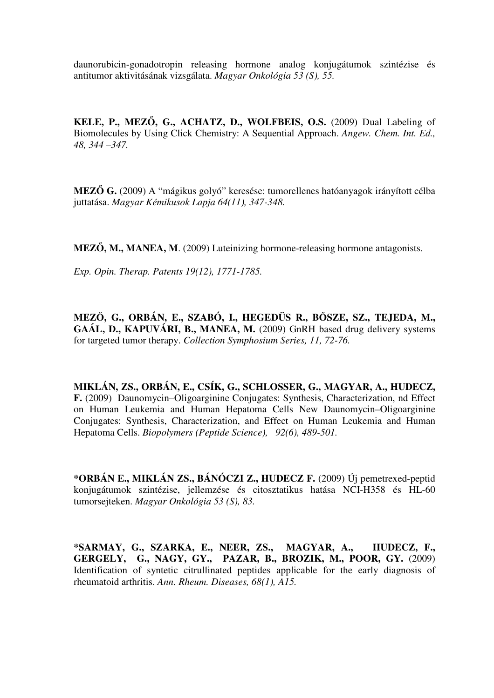daunorubicin-gonadotropin releasing hormone analog konjugátumok szintézise és antitumor aktivitásának vizsgálata. *Magyar Onkológia 53 (S), 55.*

**KELE, P., MEZ**Ő**, G., ACHATZ, D., WOLFBEIS, O.S.** (2009) Dual Labeling of Biomolecules by Using Click Chemistry: A Sequential Approach. *Angew. Chem. Int. Ed., 48, 344 –347.*

**MEZ**Ő **G.** (2009) A "mágikus golyó" keresése: tumorellenes hatóanyagok irányított célba juttatása. *Magyar Kémikusok Lapja 64(11), 347-348.*

**MEZ**Ő**, M., MANEA, M**. (2009) Luteinizing hormone-releasing hormone antagonists.

*Exp. Opin. Therap. Patents 19(12), 1771-1785.*

**MEZ**Ő**, G., ORBÁN, E., SZABÓ, I., HEGEDÜS R., B**Ő**SZE, SZ., TEJEDA, M., GAÁL, D., KAPUVÁRI, B., MANEA, M.** (2009) GnRH based drug delivery systems for targeted tumor therapy. *Collection Symphosium Series, 11, 72-76.*

**MIKLÁN, ZS., ORBÁN, E., CSÍK, G., SCHLOSSER, G., MAGYAR, A., HUDECZ, F.** (2009)Daunomycin–Oligoarginine Conjugates: Synthesis, Characterization, nd Effect on Human Leukemia and Human Hepatoma Cells New Daunomycin–Oligoarginine Conjugates: Synthesis, Characterization, and Effect on Human Leukemia and Human Hepatoma Cells. *Biopolymers (Peptide Science), 92(6), 489-501.*

**\*ORBÁN E., MIKLÁN ZS., BÁNÓCZI Z., HUDECZ F.** (2009) Új pemetrexed-peptid konjugátumok szintézise, jellemzése és citosztatikus hatása NCI-H358 és HL-60 tumorsejteken. *Magyar Onkológia 53 (S), 83.*

**\*SARMAY, G., SZARKA, E., NEER, ZS., MAGYAR, A., HUDECZ, F., GERGELY, G., NAGY, GY., PAZAR, B., BROZIK, M., POOR, GY.** (2009) Identification of syntetic citrullinated peptides applicable for the early diagnosis of rheumatoid arthritis. *Ann. Rheum. Diseases, 68(1), A15.*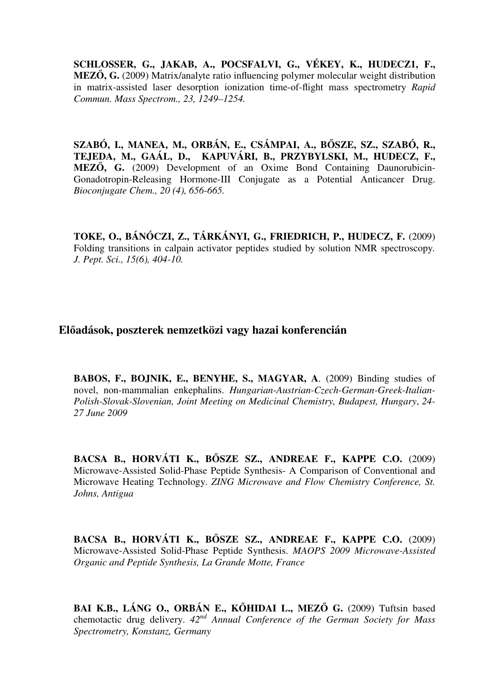**SCHLOSSER, G., JAKAB, A., POCSFALVI, G., VÉKEY, K., HUDECZ1, F., MEZ**Ő**, G.** (2009) Matrix/analyte ratio influencing polymer molecular weight distribution in matrix-assisted laser desorption ionization time-of-flight mass spectrometry *Rapid Commun. Mass Spectrom., 23, 1249–1254.*

**SZABÓ, I., MANEA, M., ORBÁN, E., CSÁMPAI, A., B**Ő**SZE, SZ., SZABÓ, R., TEJEDA, M., GAÁL, D., KAPUVÁRI, B., PRZYBYLSKI, M., HUDECZ, F., MEZ**Ő**, G.** (2009) Development of an Oxime Bond Containing Daunorubicin-Gonadotropin-Releasing Hormone-III Conjugate as a Potential Anticancer Drug. *Bioconjugate Chem., 20 (4), 656-665.*

**TOKE, O., BÁNÓCZI, Z., TÁRKÁNYI, G., FRIEDRICH, P., HUDECZ, F.** (2009) Folding transitions in calpain activator peptides studied by solution NMR spectroscopy*. J. Pept. Sci., 15(6), 404-10.*

## **El**ő**adások, poszterek nemzetközi vagy hazai konferencián**

**BABOS, F., BOJNIK, E., BENYHE, S., MAGYAR, A**. (2009) Binding studies of novel, non-mammalian enkephalins. *Hungarian-Austrian-Czech-German-Greek-Italian-Polish-Slovak-Slovenian, Joint Meeting on Medicinal Chemistry, Budapest, Hungary*, *24- 27 June 2009*

**BACSA B., HORVÁTI K., B**Ő**SZE SZ., ANDREAE F., KAPPE C.O.** (2009) Microwave-Assisted Solid-Phase Peptide Synthesis- A Comparison of Conventional and Microwave Heating Technology. *ZING Microwave and Flow Chemistry Conference, St. Johns, Antigua*

**BACSA B., HORVÁTI K., B**Ő**SZE SZ., ANDREAE F., KAPPE C.O.** (2009) Microwave-Assisted Solid-Phase Peptide Synthesis. *MAOPS 2009 Microwave-Assisted Organic and Peptide Synthesis, La Grande Motte, France*

**BAI K.B., LÁNG O., ORBÁN E., K**Ő**HIDAI L., MEZ**Ő **G.** (2009) Tuftsin based chemotactic drug delivery. *42nd Annual Conference of the German Society for Mass Spectrometry, Konstanz, Germany*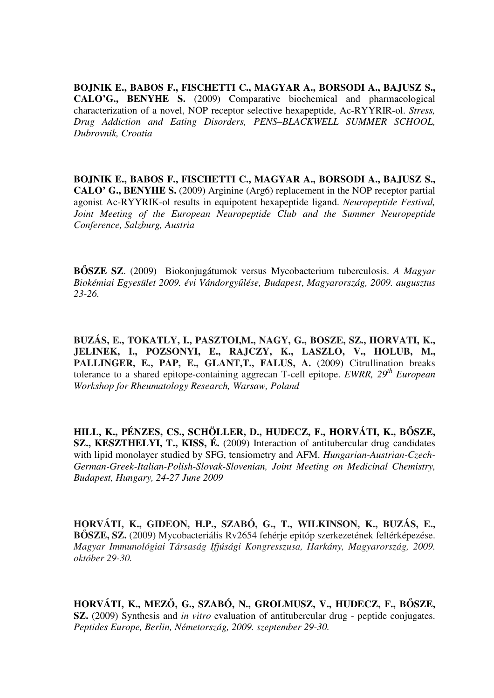**BOJNIK E., BABOS F., FISCHETTI C., MAGYAR A., BORSODI A., BAJUSZ S., CALO'G., BENYHE S.** (2009) Comparative biochemical and pharmacological characterization of a novel, NOP receptor selective hexapeptide, Ac-RYYRIR-ol. *Stress, Drug Addiction and Eating Disorders, PENS–BLACKWELL SUMMER SCHOOL, Dubrovnik, Croatia*

**BOJNIK E., BABOS F., FISCHETTI C., MAGYAR A., BORSODI A., BAJUSZ S., CALO' G., BENYHE S.** (2009) Arginine (Arg6) replacement in the NOP receptor partial agonist Ac-RYYRIK-ol results in equipotent hexapeptide ligand. *Neuropeptide Festival, Joint Meeting of the European Neuropeptide Club and the Summer Neuropeptide Conference, Salzburg, Austria*

**B**Ő**SZE SZ**. (2009) Biokonjugátumok versus Mycobacterium tuberculosis. *A Magyar Biokémiai Egyesület 2009. évi Vándorgy*ű*lése, Budapest*, *Magyarország, 2009. augusztus 23-26.*

**BUZÁS, E., TOKATLY, I., PASZTOI,M., NAGY, G., BOSZE, SZ., HORVATI, K., JELINEK, I., POZSONYI, E., RAJCZY, K., LASZLO, V., HOLUB, M.,**  PALLINGER, E., PAP, E., GLANT, T., FALUS, A. (2009) Citrullination breaks tolerance to a shared epitope-containing aggrecan T-cell epitope. *EWRR, 29th European Workshop for Rheumatology Research, Warsaw, Poland*

**HILL, K., PÉNZES, CS., SCHÖLLER, D., HUDECZ, F., HORVÁTI, K., B**Ő**SZE, SZ., KESZTHELYI, T., KISS, É.** (2009) Interaction of antitubercular drug candidates with lipid monolayer studied by SFG, tensiometry and AFM. *Hungarian-Austrian-Czech-German-Greek-Italian-Polish-Slovak-Slovenian, Joint Meeting on Medicinal Chemistry, Budapest, Hungary, 24-27 June 2009*

**HORVÁTI, K., GIDEON, H.P., SZABÓ, G., T., WILKINSON, K., BUZÁS, E., B**Ő**SZE, SZ.** (2009) Mycobacteriális Rv2654 fehérje epitóp szerkezetének feltérképezése. *Magyar Immunológiai Társaság Ifjúsági Kongresszusa, Harkány, Magyarország, 2009. október 29-30.*

**HORVÁTI, K., MEZ**Ő**, G., SZABÓ, N., GROLMUSZ, V., HUDECZ, F., B**Ő**SZE, SZ.** (2009) Synthesis and *in vitro* evaluation of antitubercular drug - peptide conjugates. *Peptides Europe, Berlin, Németország, 2009. szeptember 29-30.*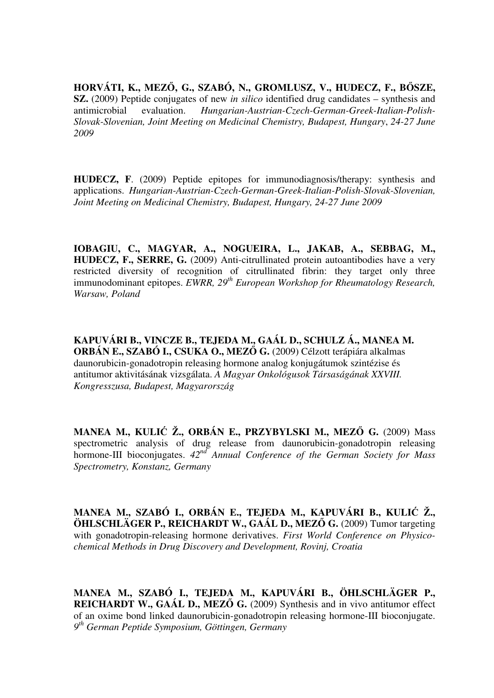**HORVÁTI, K., MEZ**Ő**, G., SZABÓ, N., GROMLUSZ, V., HUDECZ, F., B**Ő**SZE, SZ.** (2009) Peptide conjugates of new *in silico* identified drug candidates – synthesis and antimicrobial evaluation. *Hungarian-Austrian-Czech-German-Greek-Italian-Polish-Slovak-Slovenian, Joint Meeting on Medicinal Chemistry, Budapest, Hungary*, *24-27 June 2009*

**HUDECZ, F**. (2009) Peptide epitopes for immunodiagnosis/therapy: synthesis and applications. *Hungarian-Austrian-Czech-German-Greek-Italian-Polish-Slovak-Slovenian, Joint Meeting on Medicinal Chemistry, Budapest, Hungary, 24-27 June 2009* 

**IOBAGIU, C., MAGYAR, A., NOGUEIRA, L., JAKAB, A., SEBBAG, M., HUDECZ, F., SERRE, G.** (2009) Anti-citrullinated protein autoantibodies have a very restricted diversity of recognition of citrullinated fibrin: they target only three immunodominant epitopes. *EWRR*, 29<sup>th</sup> European Workshop for Rheumatology Research, *Warsaw, Poland*

**KAPUVÁRI B., VINCZE B., TEJEDA M., GAÁL D., SCHULZ Á., MANEA M. ORBÁN E., SZABÓ I., CSUKA O., MEZ**Ő **G.** (2009) Célzott terápiára alkalmas daunorubicin-gonadotropin releasing hormone analog konjugátumok szintézise és antitumor aktivitásának vizsgálata. *A Magyar Onkológusok Társaságának XXVIII. Kongresszusa, Budapest, Magyarország*

**MANEA M., KULI**Ć **Ž., ORBÁN E., PRZYBYLSKI M., MEZ**Ő **G.** (2009) Mass spectrometric analysis of drug release from daunorubicin-gonadotropin releasing hormone-III bioconjugates. *42nd Annual Conference of the German Society for Mass Spectrometry, Konstanz, Germany*

**MANEA M., SZABÓ I., ORBÁN E., TEJEDA M., KAPUVÁRI B., KULI**Ć **Ž., ÖHLSCHLÄGER P., REICHARDT W., GAÁL D., MEZ**Ő **G.** (2009) Tumor targeting with gonadotropin-releasing hormone derivatives. *First World Conference on Physicochemical Methods in Drug Discovery and Development, Rovinj, Croatia*

**MANEA M., SZABÓ I., TEJEDA M., KAPUVÁRI B., ÖHLSCHLÄGER P., REICHARDT W., GAÁL D., MEZ**Ő **G.** (2009) Synthesis and in vivo antitumor effect of an oxime bond linked daunorubicin-gonadotropin releasing hormone-III bioconjugate. *9 th German Peptide Symposium, Göttingen, Germany*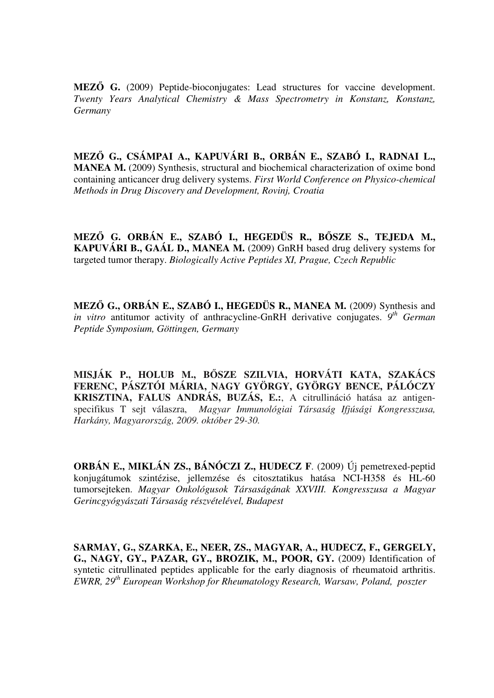**MEZ**Ő **G.** (2009) Peptide-bioconjugates: Lead structures for vaccine development. *Twenty Years Analytical Chemistry & Mass Spectrometry in Konstanz, Konstanz, Germany*

**MEZ**Ő **G., CSÁMPAI A., KAPUVÁRI B., ORBÁN E., SZABÓ I., RADNAI L., MANEA M.** (2009) Synthesis, structural and biochemical characterization of oxime bond containing anticancer drug delivery systems. *First World Conference on Physico-chemical Methods in Drug Discovery and Development, Rovinj, Croatia*

**MEZ**Ő **G. ORBÁN E., SZABÓ I., HEGEDÜS R., B**Ő**SZE S., TEJEDA M., KAPUVÁRI B., GAÁL D., MANEA M.** (2009) GnRH based drug delivery systems for targeted tumor therapy. *Biologically Active Peptides XI, Prague, Czech Republic*

**MEZŐ G., ORBÁN E., SZABÓ I., HEGEDÜS R., MANEA M.** (2009) Synthesis and *in vitro* antitumor activity of anthracycline-GnRH derivative conjugates. 9<sup>th</sup> German *Peptide Symposium, Göttingen, Germany*

**MISJÁK P., HOLUB M., B**Ő**SZE SZILVIA, HORVÁTI KATA, SZAKÁCS FERENC, PÁSZTÓI MÁRIA, NAGY GYÖRGY, GYÖRGY BENCE, PÁLÓCZY KRISZTINA, FALUS ANDRÁS, BUZÁS, E.:**, A citrullináció hatása az antigenspecifikus T sejt válaszra, *Magyar Immunológiai Társaság Ifjúsági Kongresszusa, Harkány, Magyarország, 2009. október 29-30.*

**ORBÁN E., MIKLÁN ZS., BÁNÓCZI Z., HUDECZ F**. (2009) Új pemetrexed-peptid konjugátumok szintézise, jellemzése és citosztatikus hatása NCI-H358 és HL-60 tumorsejteken. *Magyar Onkológusok Társaságának XXVIII. Kongresszusa a Magyar Gerincgyógyászati Társaság részvételével, Budapest*

**SARMAY, G., SZARKA, E., NEER, ZS., MAGYAR, A., HUDECZ, F., GERGELY, G., NAGY, GY., PAZAR, GY., BROZIK, M., POOR, GY.** (2009) Identification of syntetic citrullinated peptides applicable for the early diagnosis of rheumatoid arthritis. *EWRR, 29th European Workshop for Rheumatology Research, Warsaw, Poland, poszter*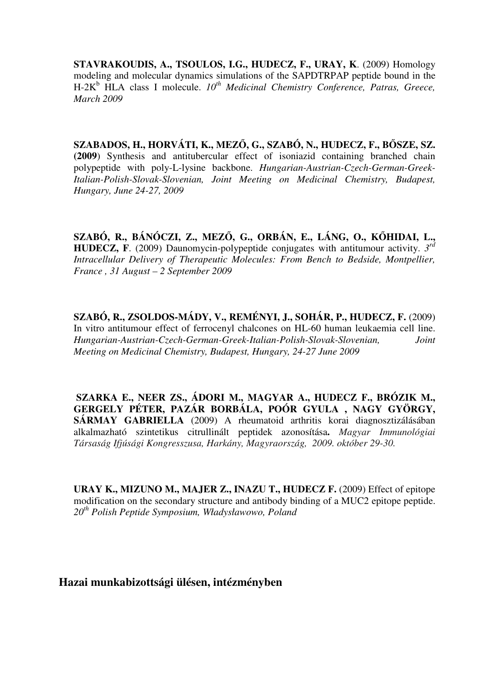**STAVRAKOUDIS, A., TSOULOS, I.G., HUDECZ, F., URAY, K**. (2009) Homology modeling and molecular dynamics simulations of the SAPDTRPAP peptide bound in the H-2K<sup>b</sup> HLA class I molecule.  $10^{th}$  Medicinal Chemistry Conference, Patras, Greece, *March 2009*

**SZABADOS, H., HORVÁTI, K., MEZ**Ő**, G., SZABÓ, N., HUDECZ, F., B**Ő**SZE, SZ. (2009**) Synthesis and antitubercular effect of isoniazid containing branched chain polypeptide with poly-L-lysine backbone. *Hungarian-Austrian-Czech-German-Greek-Italian-Polish-Slovak-Slovenian, Joint Meeting on Medicinal Chemistry, Budapest, Hungary, June 24-27, 2009*

**SZABÓ, R., BÁNÓCZI, Z., MEZ**Ő**, G., ORBÁN, E., LÁNG, O., K**Ő**HIDAI, L., HUDECZ, F**. (2009) Daunomycin-polypeptide conjugates with antitumour activity. *3 rd Intracellular Delivery of Therapeutic Molecules: From Bench to Bedside, Montpellier, France , 31 August – 2 September 2009*

**SZABÓ, R., ZSOLDOS-MÁDY, V., REMÉNYI, J., SOHÁR, P., HUDECZ, F. (2009)** In vitro antitumour effect of ferrocenyl chalcones on HL-60 human leukaemia cell line. *Hungarian-Austrian-Czech-German-Greek-Italian-Polish-Slovak-Slovenian, Joint Meeting on Medicinal Chemistry, Budapest, Hungary, 24-27 June 2009*

 **SZARKA E., NEER ZS., ÁDORI M., MAGYAR A., HUDECZ F., BRÓZIK M., GERGELY PÉTER, PAZÁR BORBÁLA, POÓR GYULA , NAGY GYÖRGY, SÁRMAY GABRIELLA** (2009) A rheumatoid arthritis korai diagnosztizálásában alkalmazható szintetikus citrullinált peptidek azonosítása**.** *Magyar Immunológiai Társaság Ifjúsági Kongresszusa, Harkány, Magyraország, 2009. október 29-30.*

**URAY K., MIZUNO M., MAJER Z., INAZU T., HUDECZ F.** (2009) Effect of epitope modification on the secondary structure and antibody binding of a MUC2 epitope peptide. *20th Polish Peptide Symposium, Władysławowo, Poland*

## **Hazai munkabizottsági ülésen, intézményben**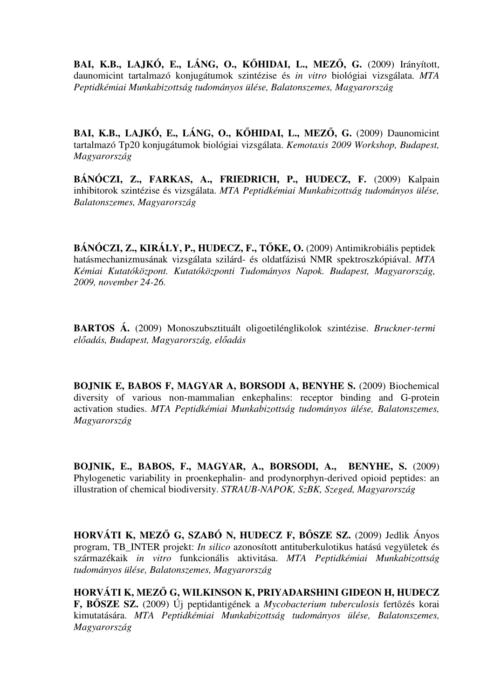**BAI, K.B., LAJKÓ, E., LÁNG, O., K**Ő**HIDAI, L., MEZ**Ő**, G.** (2009) Irányított, daunomicint tartalmazó konjugátumok szintézise és *in vitro* biológiai vizsgálata. *MTA Peptidkémiai Munkabizottság tudományos ülése, Balatonszemes, Magyarország*

**BAI, K.B., LAJKÓ, E., LÁNG, O., K**Ő**HIDAI, L., MEZ**Ő**, G.** (2009) Daunomicint tartalmazó Tp20 konjugátumok biológiai vizsgálata. *Kemotaxis 2009 Workshop, Budapest, Magyarország*

BÁNÓCZI, Z., FARKAS, A., FRIEDRICH, P., HUDECZ, F. (2009) Kalpain inhibitorok szintézise és vizsgálata. *MTA Peptidkémiai Munkabizottság tudományos ülése, Balatonszemes, Magyarország*

**BÁNÓCZI, Z., KIRÁLY, P., HUDECZ, F., T**Ő**KE, O.** (2009) Antimikrobiális peptidek hatásmechanizmusának vizsgálata szilárd- és oldatfázisú NMR spektroszkópiával. *MTA Kémiai Kutatóközpont. Kutatóközponti Tudományos Napok. Budapest, Magyarország, 2009, november 24-26.* 

**BARTOS Á.** (2009) Monoszubsztituált oligoetilénglikolok szintézise. *Bruckner-termi el*ő*adás, Budapest, Magyarország, el*ő*adás*

**BOJNIK E, BABOS F, MAGYAR A, BORSODI A, BENYHE S.** (2009) Biochemical diversity of various non-mammalian enkephalins: receptor binding and G-protein activation studies. *MTA Peptidkémiai Munkabizottság tudományos ülése, Balatonszemes, Magyarország*

**BOJNIK, E., BABOS, F., MAGYAR, A., BORSODI, A., BENYHE, S.** (2009) Phylogenetic variability in proenkephalin- and prodynorphyn-derived opioid peptides: an illustration of chemical biodiversity. *STRAUB-NAPOK, SzBK, Szeged, Magyarország* 

**HORVÁTI K, MEZ**Ő **G, SZABÓ N, HUDECZ F, B**Ő**SZE SZ.** (2009) Jedlik Ányos program, TB\_INTER projekt: *In silico* azonosított antituberkulotikus hatású vegyületek és származékaik *in vitro* funkcionális aktivitása. *MTA Peptidkémiai Munkabizottság tudományos ülése, Balatonszemes, Magyarország*

**HORVÁTI K, MEZ**Ő **G, WILKINSON K, PRIYADARSHINI GIDEON H, HUDECZ F, B**Ő**SZE SZ.** (2009) Új peptidantigének a *Mycobacterium tuberculosis* fertőzés korai kimutatására. *MTA Peptidkémiai Munkabizottság tudományos ülése, Balatonszemes, Magyarország*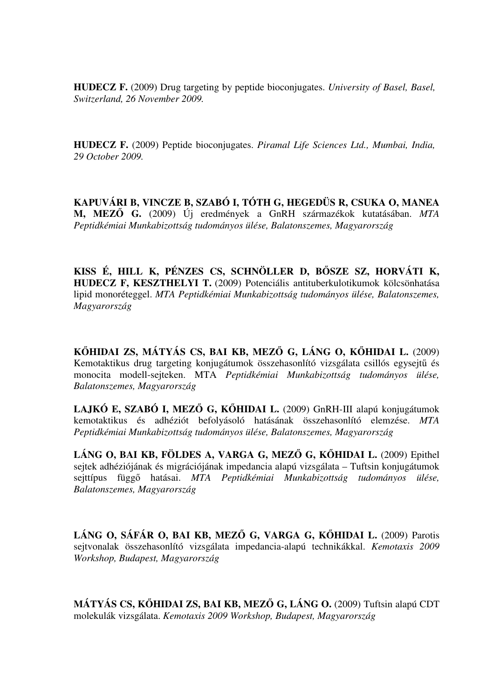**HUDECZ F.** (2009) Drug targeting by peptide bioconjugates. *University of Basel, Basel, Switzerland, 26 November 2009.*

**HUDECZ F.** (2009) Peptide bioconjugates. *Piramal Life Sciences Ltd., Mumbai, India, 29 October 2009.*

**KAPUVÁRI B, VINCZE B, SZABÓ I, TÓTH G, HEGEDÜS R, CSUKA O, MANEA M, MEZ**Ő **G.** (2009) Új eredmények a GnRH származékok kutatásában. *MTA Peptidkémiai Munkabizottság tudományos ülése, Balatonszemes, Magyarország*

**KISS É, HILL K, PÉNZES CS, SCHNÖLLER D, B**Ő**SZE SZ, HORVÁTI K, HUDECZ F, KESZTHELYI T.** (2009) Potenciális antituberkulotikumok kölcsönhatása lipid monoréteggel. *MTA Peptidkémiai Munkabizottság tudományos ülése, Balatonszemes, Magyarország*

**K**Ő**HIDAI ZS, MÁTYÁS CS, BAI KB, MEZ**Ő **G, LÁNG O, K**Ő**HIDAI L.** (2009) Kemotaktikus drug targeting konjugátumok összehasonlító vizsgálata csillós egysejtű és monocita modell-sejteken. MTA *Peptidkémiai Munkabizottság tudományos ülése, Balatonszemes, Magyarország*

**LAJKÓ E, SZABÓ I, MEZ**Ő **G, K**Ő**HIDAI L.** (2009) GnRH-III alapú konjugátumok kemotaktikus és adhéziót befolyásoló hatásának összehasonlító elemzése. *MTA Peptidkémiai Munkabizottság tudományos ülése, Balatonszemes, Magyarország*

**LÁNG O, BAI KB, FÖLDES A, VARGA G, MEZ**Ő **G, K**Ő**HIDAI L.** (2009) Epithel sejtek adhéziójának és migrációjának impedancia alapú vizsgálata – Tuftsin konjugátumok sejttípus függő hatásai. *MTA Peptidkémiai Munkabizottság tudományos ülése, Balatonszemes, Magyarország*

**LÁNG O, SÁFÁR O, BAI KB, MEZ**Ő **G, VARGA G, K**Ő**HIDAI L.** (2009) Parotis sejtvonalak összehasonlító vizsgálata impedancia-alapú technikákkal. *Kemotaxis 2009 Workshop, Budapest, Magyarország*

**MÁTYÁS CS, K**Ő**HIDAI ZS, BAI KB, MEZ**Ő **G, LÁNG O.** (2009) Tuftsin alapú CDT molekulák vizsgálata. *Kemotaxis 2009 Workshop, Budapest, Magyarország*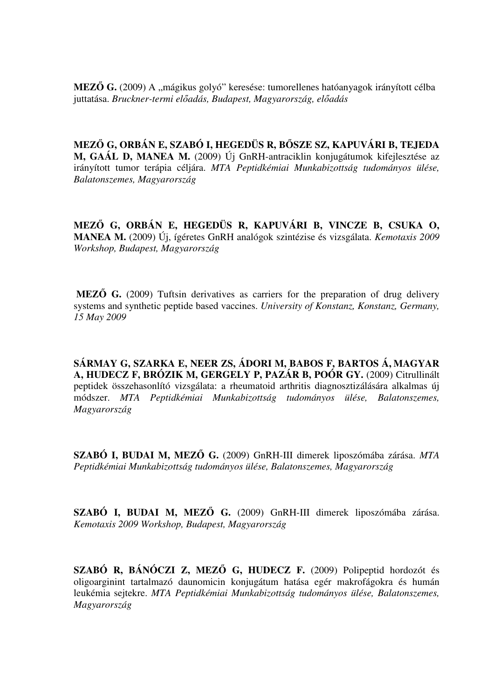**MEZŐ G.** (2009) A "mágikus golyó" keresése: tumorellenes hatóanyagok irányított célba juttatása. *Bruckner-termi el*ő*adás, Budapest, Magyarország, el*ő*adás*

**MEZ**Ő **G, ORBÁN E, SZABÓ I, HEGEDÜS R, B**Ő**SZE SZ, KAPUVÁRI B, TEJEDA M, GAÁL D, MANEA M.** (2009) Új GnRH-antraciklin konjugátumok kifejlesztése az irányított tumor terápia céljára. *MTA Peptidkémiai Munkabizottság tudományos ülése, Balatonszemes, Magyarország*

**MEZ**Ő **G, ORBÁN E, HEGEDÜS R, KAPUVÁRI B, VINCZE B, CSUKA O, MANEA M.** (2009) Új, ígéretes GnRH analógok szintézise és vizsgálata. *Kemotaxis 2009 Workshop, Budapest, Magyarország*

 **MEZ**Ő **G.** (2009) Tuftsin derivatives as carriers for the preparation of drug delivery systems and synthetic peptide based vaccines. *University of Konstanz, Konstanz, Germany, 15 May 2009*

**SÁRMAY G, SZARKA E, NEER ZS, ÁDORI M, BABOS F, BARTOS Á, MAGYAR A, HUDECZ F, BRÓZIK M, GERGELY P, PAZÁR B, POÓR GY.** (2009) Citrullinált peptidek összehasonlító vizsgálata: a rheumatoid arthritis diagnosztizálására alkalmas új módszer. *MTA Peptidkémiai Munkabizottság tudományos ülése, Balatonszemes, Magyarország*

**SZABÓ I, BUDAI M, MEZ**Ő **G.** (2009) GnRH-III dimerek liposzómába zárása. *MTA Peptidkémiai Munkabizottság tudományos ülése, Balatonszemes, Magyarország*

**SZABÓ I, BUDAI M, MEZ**Ő **G.** (2009) GnRH-III dimerek liposzómába zárása. *Kemotaxis 2009 Workshop, Budapest, Magyarország*

**SZABÓ R, BÁNÓCZI Z, MEZ**Ő **G, HUDECZ F.** (2009) Polipeptid hordozót és oligoarginint tartalmazó daunomicin konjugátum hatása egér makrofágokra és humán leukémia sejtekre. *MTA Peptidkémiai Munkabizottság tudományos ülése, Balatonszemes, Magyarország*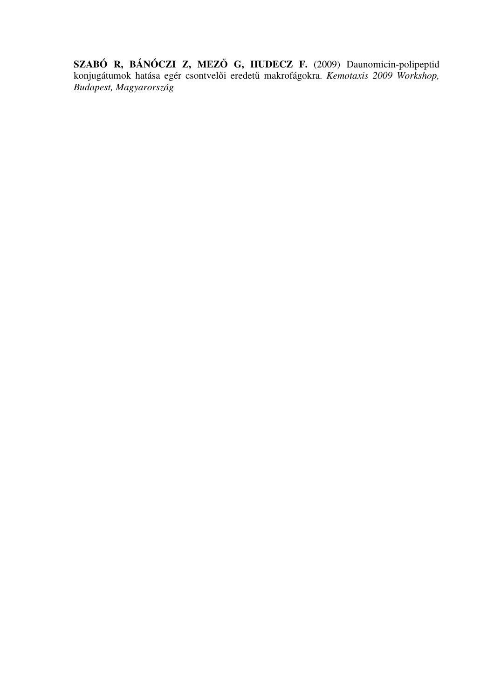**SZABÓ R, BÁNÓCZI Z, MEZ**Ő **G, HUDECZ F.** (2009) Daunomicin-polipeptid konjugátumok hatása egér csontvelői eredetű makrofágokra. *Kemotaxis 2009 Workshop, Budapest, Magyarország*